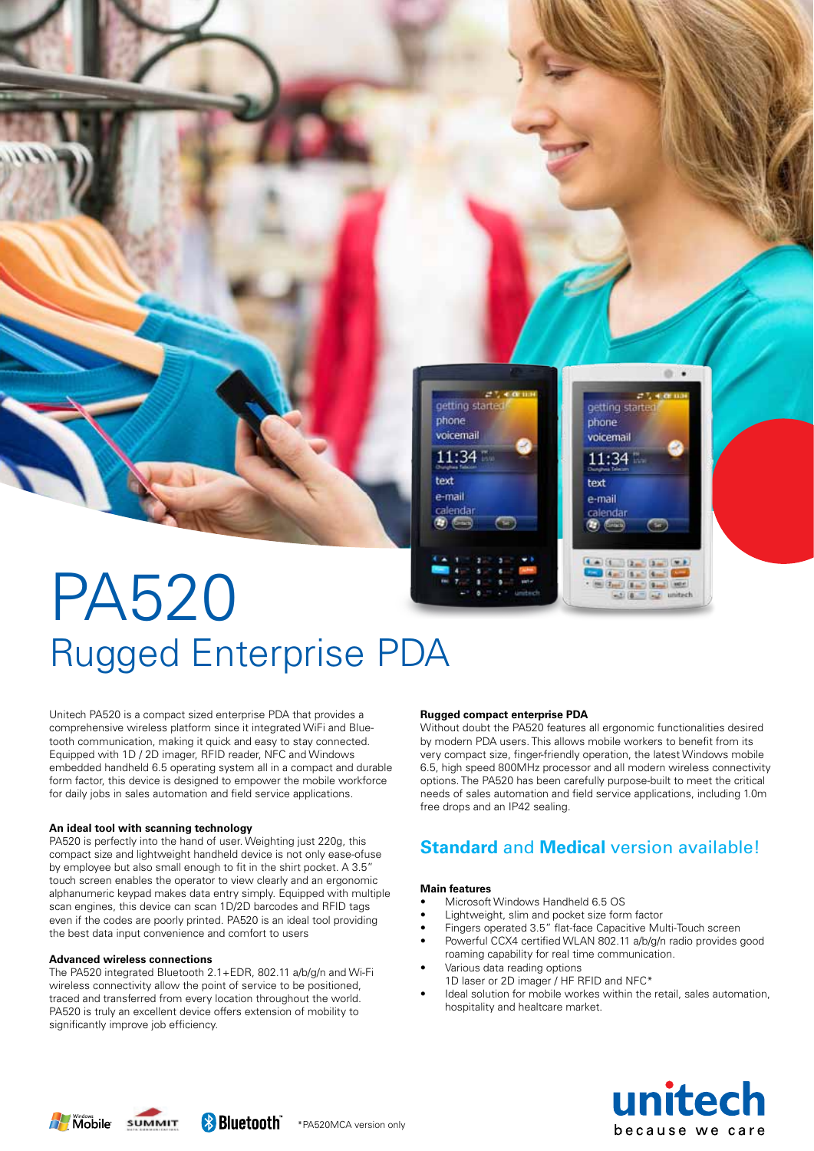# PA520 Rugged Enterprise PDA

Unitech PA520 is a compact sized enterprise PDA that provides a comprehensive wireless platform since it integrated WiFi and Bluetooth communication, making it quick and easy to stay connected. Equipped with 1D / 2D imager, RFID reader, NFC and Windows embedded handheld 6.5 operating system all in a compact and durable form factor, this device is designed to empower the mobile workforce for daily jobs in sales automation and field service applications.

#### **An ideal tool with scanning technology**

PA520 is perfectly into the hand of user. Weighting just 220g, this compact size and lightweight handheld device is not only ease-ofuse by employee but also small enough to fit in the shirt pocket. A 3.5" touch screen enables the operator to view clearly and an ergonomic alphanumeric keypad makes data entry simply. Equipped with multiple scan engines, this device can scan 1D/2D barcodes and RFID tags even if the codes are poorly printed. PA520 is an ideal tool providing the best data input convenience and comfort to users

#### **Advanced wireless connections**

The PA520 integrated Bluetooth 2.1+EDR, 802.11 a/b/g/n and Wi-Fi wireless connectivity allow the point of service to be positioned, traced and transferred from every location throughout the world. PA520 is truly an excellent device offers extension of mobility to significantly improve job efficiency.

#### **Rugged compact enterprise PDA**

getting started

phone

voicemail

 $11:34$ 

text

e-mail

calendar

Without doubt the PA520 features all ergonomic functionalities desired by modern PDA users. This allows mobile workers to benefit from its very compact size, finger-friendly operation, the latest Windows mobile 6.5, high speed 800MHz processor and all modern wireless connectivity options. The PA520 has been carefully purpose-built to meet the critical needs of sales automation and field service applications, including 1.0m free drops and an IP42 sealing.

 $\sim$  .

动力

oetting started

phone

text

e-mail

calenda

 $(4 - 1)$   $(1 - 1)$   $(2 - 1)$ 

**Court (Bas)** Bagil 1984

voicemail

11:34

## **Standard** and **Medical** version available!

#### **Main features**

- Microsoft Windows Handheld 6.5 OS
- • Lightweight, slim and pocket size form factor
- • Fingers operated 3.5" flat-face Capacitive Multi-Touch screen
- Powerful CCX4 certified WLAN 802.11 a/b/g/n radio provides good roaming capability for real time communication.
- Various data reading options
- 1D laser or 2D imager / HF RFID and NFC\*
- Ideal solution for mobile workes within the retail, sales automation, hospitality and healtcare market.